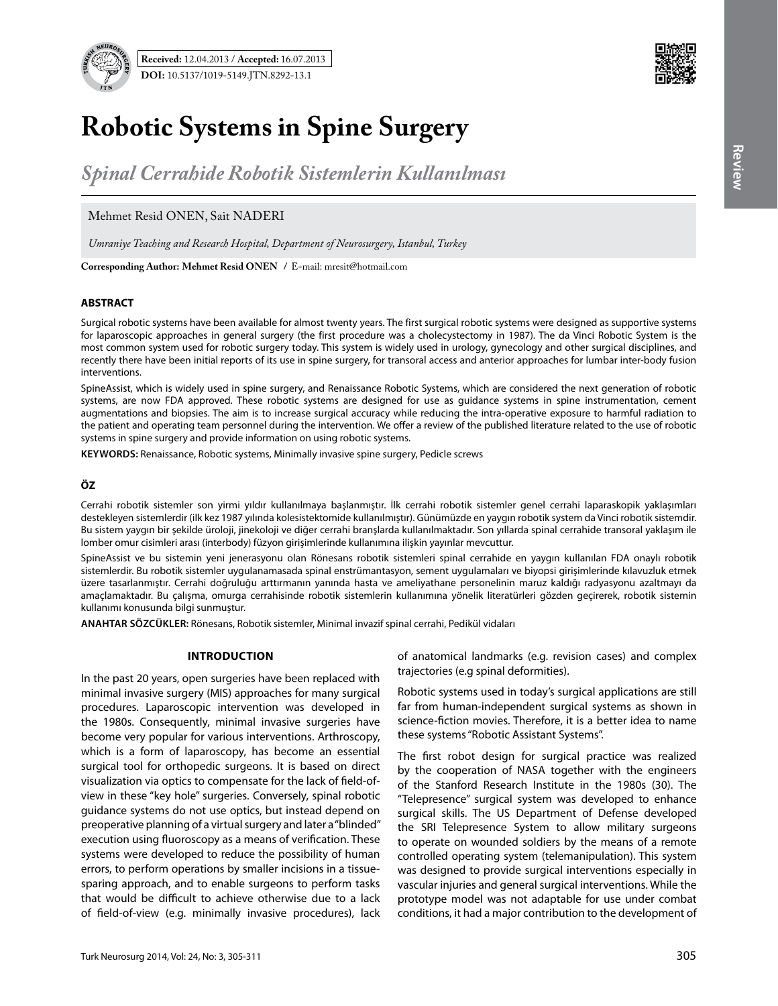

# **Robotic Systems in Spine Surgery**

*Spinal Cerrahide Robotik Sistemlerin Kullanılması*

Mehmet Resid ONEN, Sait NADERI

*Umraniye Teaching and Research Hospital, Department of Neurosurgery, Istanbul, Turkey*

**Corresponding Author: Mehmet Resid Onen /** E-mail: mresit@hotmail.com

## **ABSTRACT**

Surgical robotic systems have been available for almost twenty years. The first surgical robotic systems were designed as supportive systems for laparoscopic approaches in general surgery (the first procedure was a cholecystectomy in 1987). The da Vinci Robotic System is the most common system used for robotic surgery today. This system is widely used in urology, gynecology and other surgical disciplines, and recently there have been initial reports of its use in spine surgery, for transoral access and anterior approaches for lumbar inter-body fusion interventions.

SpineAssist, which is widely used in spine surgery, and Renaissance Robotic Systems, which are considered the next generation of robotic systems, are now FDA approved. These robotic systems are designed for use as guidance systems in spine instrumentation, cement augmentations and biopsies. The aim is to increase surgical accuracy while reducing the intra-operative exposure to harmful radiation to the patient and operating team personnel during the intervention. We offer a review of the published literature related to the use of robotic systems in spine surgery and provide information on using robotic systems.

**Keywords:** Renaissance, Robotic systems, Minimally invasive spine surgery, Pedicle screws

# **ÖZ**

Cerrahi robotik sistemler son yirmi yıldır kullanılmaya başlanmıştır. İlk cerrahi robotik sistemler genel cerrahi laparaskopik yaklaşımları destekleyen sistemlerdir (ilk kez 1987 yılında kolesistektomide kullanılmıştır). Günümüzde en yaygın robotik system da Vinci robotik sistemdir. Bu sistem yaygın bir şekilde üroloji, jinekoloji ve diğer cerrahi branşlarda kullanılmaktadır. Son yıllarda spinal cerrahide transoral yaklaşım ile lomber omur cisimleri arası (interbody) füzyon girişimlerinde kullanımına ilişkin yayınlar mevcuttur.

SpineAssist ve bu sistemin yeni jenerasyonu olan Rönesans robotik sistemleri spinal cerrahide en yaygın kullanılan FDA onaylı robotik sistemlerdir. Bu robotik sistemler uygulanamasada spinal enstrümantasyon, sement uygulamaları ve biyopsi girişimlerinde kılavuzluk etmek üzere tasarlanmıştır. Cerrahi doğruluğu arttırmanın yanında hasta ve ameliyathane personelinin maruz kaldığı radyasyonu azaltmayı da amaçlamaktadır. Bu çalışma, omurga cerrahisinde robotik sistemlerin kullanımına yönelik literatürleri gözden geçirerek, robotik sistemin kullanımı konusunda bilgi sunmuştur.

**ANAHTAR SÖZCÜKLER:** Rönesans, Robotik sistemler, Minimal invazif spinal cerrahi, Pedikül vidaları

#### **Introduction**

In the past 20 years, open surgeries have been replaced with minimal invasive surgery (MIS) approaches for many surgical procedures. Laparoscopic intervention was developed in the 1980s. Consequently, minimal invasive surgeries have become very popular for various interventions. Arthroscopy, which is a form of laparoscopy, has become an essential surgical tool for orthopedic surgeons. It is based on direct visualization via optics to compensate for the lack of field-ofview in these "key hole" surgeries. Conversely, spinal robotic guidance systems do not use optics, but instead depend on preoperative planning of a virtual surgery and later a "blinded" execution using fluoroscopy as a means of verification. These systems were developed to reduce the possibility of human errors, to perform operations by smaller incisions in a tissuesparing approach, and to enable surgeons to perform tasks that would be difficult to achieve otherwise due to a lack of field-of-view (e.g. minimally invasive procedures), lack

of anatomical landmarks (e.g. revision cases) and complex trajectories (e.g spinal deformities).

Robotic systems used in today's surgical applications are still far from human-independent surgical systems as shown in science-fiction movies. Therefore, it is a better idea to name these systems "Robotic Assistant Systems".

The first robot design for surgical practice was realized by the cooperation of NASA together with the engineers of the Stanford Research Institute in the 1980s (30). The "Telepresence" surgical system was developed to enhance surgical skills. The US Department of Defense developed the SRI Telepresence System to allow military surgeons to operate on wounded soldiers by the means of a remote controlled operating system (telemanipulation). This system was designed to provide surgical interventions especially in vascular injuries and general surgical interventions. While the prototype model was not adaptable for use under combat conditions, it had a major contribution to the development of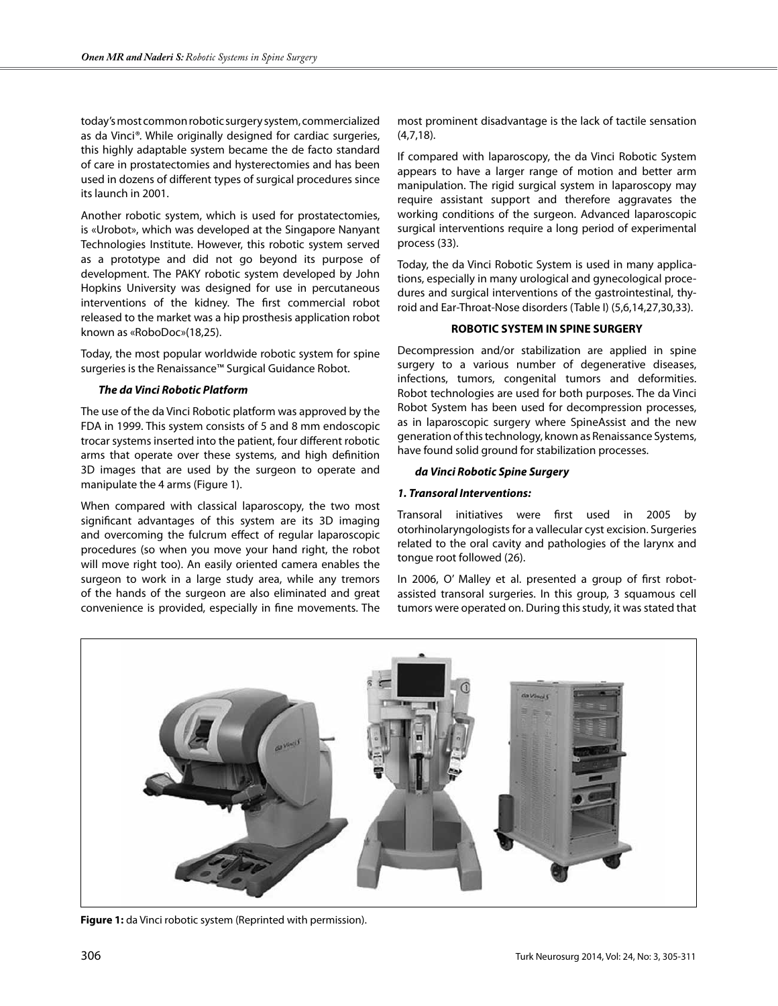today's most common robotic surgery system, commercialized as da Vinci*®*. While originally designed for cardiac surgeries, this highly adaptable system became the de facto standard of care in prostatectomies and hysterectomies and has been used in dozens of different types of surgical procedures since its launch in 2001.

Another robotic system, which is used for prostatectomies, is «Urobot», which was developed at the Singapore Nanyant Technologies Institute. However, this robotic system served as a prototype and did not go beyond its purpose of development. The PAKY robotic system developed by John Hopkins University was designed for use in percutaneous interventions of the kidney. The first commercial robot released to the market was a hip prosthesis application robot known as «RoboDoc»(18,25).

Today, the most popular worldwide robotic system for spine surgeries is the Renaissance™ Surgical Guidance Robot.

# *The da Vinci Robotic Platform*

The use of the da Vinci Robotic platform was approved by the FDA in 1999. This system consists of 5 and 8 mm endoscopic trocar systems inserted into the patient, four different robotic arms that operate over these systems, and high definition 3D images that are used by the surgeon to operate and manipulate the 4 arms (Figure 1).

When compared with classical laparoscopy, the two most significant advantages of this system are its 3D imaging and overcoming the fulcrum effect of regular laparoscopic procedures (so when you move your hand right, the robot will move right too). An easily oriented camera enables the surgeon to work in a large study area, while any tremors of the hands of the surgeon are also eliminated and great convenience is provided, especially in fine movements. The

most prominent disadvantage is the lack of tactile sensation (4,7,18).

If compared with laparoscopy, the da Vinci Robotic System appears to have a larger range of motion and better arm manipulation. The rigid surgical system in laparoscopy may require assistant support and therefore aggravates the working conditions of the surgeon. Advanced laparoscopic surgical interventions require a long period of experimental process (33).

Today, the da Vinci Robotic System is used in many applications, especially in many urological and gynecological procedures and surgical interventions of the gastrointestinal, thyroid and Ear-Throat-Nose disorders (Table I) (5,6,14,27,30,33).

## **ROBOTIC SYSTEM IN SPINE SURGERY**

Decompression and/or stabilization are applied in spine surgery to a various number of degenerative diseases, infections, tumors, congenital tumors and deformities. Robot technologies are used for both purposes. The da Vinci Robot System has been used for decompression processes, as in laparoscopic surgery where SpineAssist and the new generation of this technology, known as Renaissance Systems, have found solid ground for stabilization processes.

## *da Vinci Robotic Spine Surgery*

# *1. Transoral Interventions:*

Transoral initiatives were first used in 2005 by otorhinolaryngologists for a vallecular cyst excision. Surgeries related to the oral cavity and pathologies of the larynx and tongue root followed (26).

In 2006, O' Malley et al. presented a group of first robotassisted transoral surgeries. In this group, 3 squamous cell tumors were operated on. During this study, it was stated that



**Figure 1:** da Vinci robotic system (Reprinted with permission).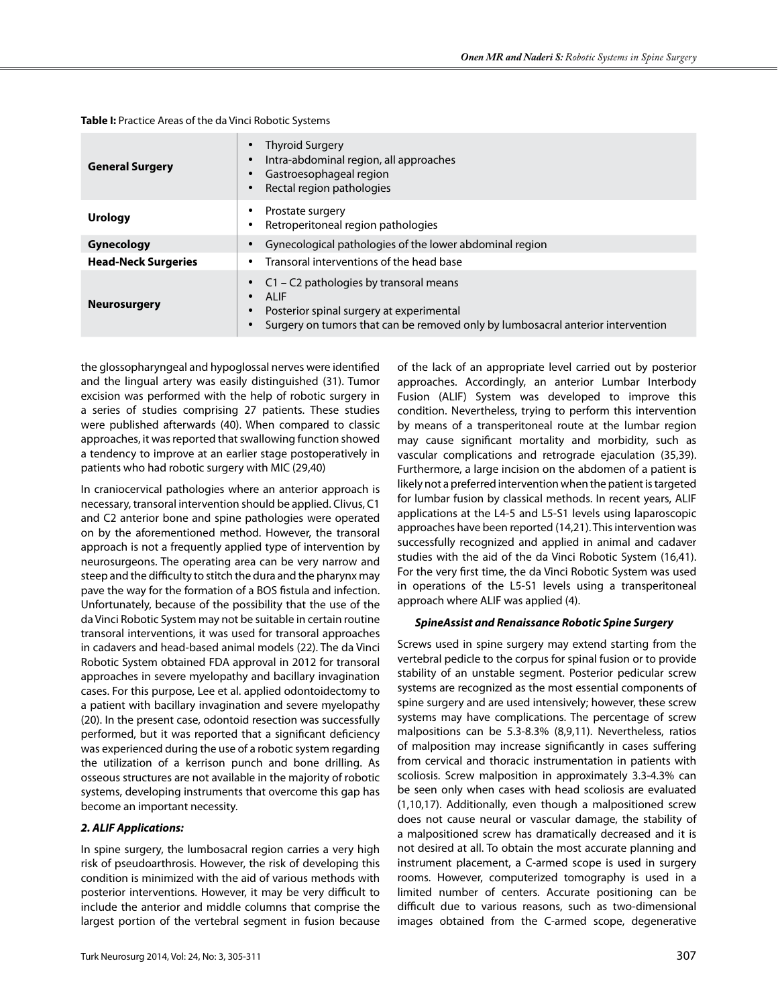| <b>General Surgery</b>     | Thyroid Surgery<br>$\bullet$<br>Intra-abdominal region, all approaches<br>$\bullet$<br>Gastroesophageal region<br>Rectal region pathologies<br>٠                                                                              |  |  |  |  |
|----------------------------|-------------------------------------------------------------------------------------------------------------------------------------------------------------------------------------------------------------------------------|--|--|--|--|
| <b>Urology</b>             | Prostate surgery<br>$\bullet$<br>Retroperitoneal region pathologies<br>$\bullet$                                                                                                                                              |  |  |  |  |
| Gynecology                 | Gynecological pathologies of the lower abdominal region                                                                                                                                                                       |  |  |  |  |
| <b>Head-Neck Surgeries</b> | Transoral interventions of the head base<br>$\bullet$                                                                                                                                                                         |  |  |  |  |
| <b>Neurosurgery</b>        | $C1 - C2$ pathologies by transoral means<br><b>ALIF</b><br>$\bullet$<br>Posterior spinal surgery at experimental<br>$\bullet$<br>Surgery on tumors that can be removed only by lumbosacral anterior intervention<br>$\bullet$ |  |  |  |  |

**Table I:** Practice Areas of the da Vinci Robotic Systems

the glossopharyngeal and hypoglossal nerves were identified and the lingual artery was easily distinguished (31). Tumor excision was performed with the help of robotic surgery in a series of studies comprising 27 patients. These studies were published afterwards (40). When compared to classic approaches, it was reported that swallowing function showed a tendency to improve at an earlier stage postoperatively in patients who had robotic surgery with MIC (29,40)

In craniocervical pathologies where an anterior approach is necessary, transoral intervention should be applied. Clivus, C1 and C2 anterior bone and spine pathologies were operated on by the aforementioned method. However, the transoral approach is not a frequently applied type of intervention by neurosurgeons. The operating area can be very narrow and steep and the difficulty to stitch the dura and the pharynx may pave the way for the formation of a BOS fistula and infection. Unfortunately, because of the possibility that the use of the da Vinci Robotic System may not be suitable in certain routine transoral interventions, it was used for transoral approaches in cadavers and head-based animal models (22). The da Vinci Robotic System obtained FDA approval in 2012 for transoral approaches in severe myelopathy and bacillary invagination cases. For this purpose, Lee et al. applied odontoidectomy to a patient with bacillary invagination and severe myelopathy (20). In the present case, odontoid resection was successfully performed, but it was reported that a significant deficiency was experienced during the use of a robotic system regarding the utilization of a kerrison punch and bone drilling. As osseous structures are not available in the majority of robotic systems, developing instruments that overcome this gap has become an important necessity.

## *2. ALIF Applications:*

In spine surgery, the lumbosacral region carries a very high risk of pseudoarthrosis. However, the risk of developing this condition is minimized with the aid of various methods with posterior interventions. However, it may be very difficult to include the anterior and middle columns that comprise the largest portion of the vertebral segment in fusion because

of the lack of an appropriate level carried out by posterior approaches. Accordingly, an anterior Lumbar Interbody Fusion (ALIF) System was developed to improve this condition. Nevertheless, trying to perform this intervention by means of a transperitoneal route at the lumbar region may cause significant mortality and morbidity, such as vascular complications and retrograde ejaculation (35,39). Furthermore, a large incision on the abdomen of a patient is likely not a preferred intervention when the patient is targeted for lumbar fusion by classical methods. In recent years, ALIF applications at the L4-5 and L5-S1 levels using laparoscopic approaches have been reported (14,21). This intervention was successfully recognized and applied in animal and cadaver studies with the aid of the da Vinci Robotic System (16,41). For the very first time, the da Vinci Robotic System was used in operations of the L5-S1 levels using a transperitoneal approach where ALIF was applied (4).

#### *SpineAssist and Renaissance Robotic Spine Surgery*

Screws used in spine surgery may extend starting from the vertebral pedicle to the corpus for spinal fusion or to provide stability of an unstable segment. Posterior pedicular screw systems are recognized as the most essential components of spine surgery and are used intensively; however, these screw systems may have complications. The percentage of screw malpositions can be 5.3-8.3% (8,9,11). Nevertheless, ratios of malposition may increase significantly in cases suffering from cervical and thoracic instrumentation in patients with scoliosis. Screw malposition in approximately 3.3-4.3% can be seen only when cases with head scoliosis are evaluated (1,10,17). Additionally, even though a malpositioned screw does not cause neural or vascular damage, the stability of a malpositioned screw has dramatically decreased and it is not desired at all. To obtain the most accurate planning and instrument placement, a C-armed scope is used in surgery rooms. However, computerized tomography is used in a limited number of centers. Accurate positioning can be difficult due to various reasons, such as two-dimensional images obtained from the C-armed scope, degenerative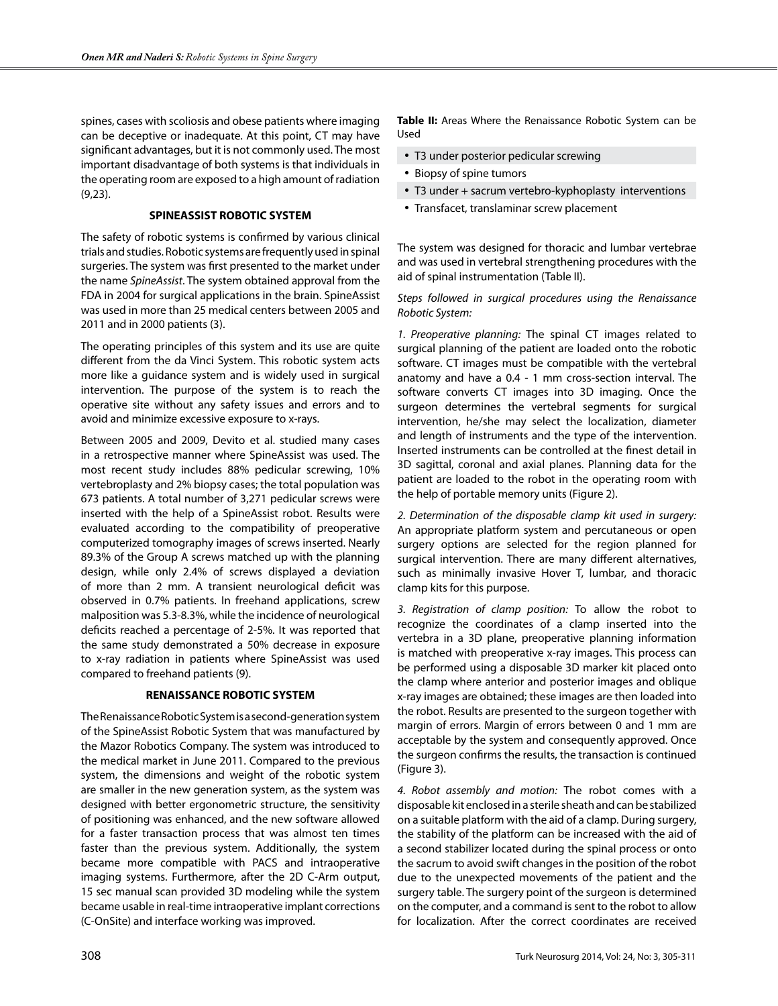spines, cases with scoliosis and obese patients where imaging can be deceptive or inadequate. At this point, CT may have significant advantages, but it is not commonly used. The most important disadvantage of both systems is that individuals in the operating room are exposed to a high amount of radiation (9,23).

#### **SPINEASSIST ROBOTIC SYSTEM**

The safety of robotic systems is confirmed by various clinical trials and studies. Robotic systems are frequently used in spinal surgeries. The system was first presented to the market under the name *SpineAssist*. The system obtained approval from the FDA in 2004 for surgical applications in the brain. SpineAssist was used in more than 25 medical centers between 2005 and 2011 and in 2000 patients (3).

The operating principles of this system and its use are quite different from the da Vinci System. This robotic system acts more like a guidance system and is widely used in surgical intervention. The purpose of the system is to reach the operative site without any safety issues and errors and to avoid and minimize excessive exposure to x-rays.

Between 2005 and 2009, Devito et al. studied many cases in a retrospective manner where SpineAssist was used. The most recent study includes 88% pedicular screwing, 10% vertebroplasty and 2% biopsy cases; the total population was 673 patients. A total number of 3,271 pedicular screws were inserted with the help of a SpineAssist robot. Results were evaluated according to the compatibility of preoperative computerized tomography images of screws inserted. Nearly 89.3% of the Group A screws matched up with the planning design, while only 2.4% of screws displayed a deviation of more than 2 mm. A transient neurological deficit was observed in 0.7% patients. In freehand applications, screw malposition was 5.3-8.3%, while the incidence of neurological deficits reached a percentage of 2-5%. It was reported that the same study demonstrated a 50% decrease in exposure to x-ray radiation in patients where SpineAssist was used compared to freehand patients (9).

# **RENAISSANCE ROBOTIC SYSTEM**

The Renaissance Robotic System is a second-generation system of the SpineAssist Robotic System that was manufactured by the Mazor Robotics Company. The system was introduced to the medical market in June 2011. Compared to the previous system, the dimensions and weight of the robotic system are smaller in the new generation system, as the system was designed with better ergonometric structure, the sensitivity of positioning was enhanced, and the new software allowed for a faster transaction process that was almost ten times faster than the previous system. Additionally, the system became more compatible with PACS and intraoperative imaging systems. Furthermore, after the 2D C-Arm output, 15 sec manual scan provided 3D modeling while the system became usable in real-time intraoperative implant corrections (C-OnSite) and interface working was improved.

**Table II:** Areas Where the Renaissance Robotic System can be Used

- T3 under posterior pedicular screwing
- Biopsy of spine tumors
- T3 under + sacrum vertebro-kyphoplasty interventions
- Transfacet, translaminar screw placement

The system was designed for thoracic and lumbar vertebrae and was used in vertebral strengthening procedures with the aid of spinal instrumentation (Table II).

## *Steps followed in surgical procedures using the Renaissance Robotic System:*

*1. Preoperative planning:* The spinal CT images related to surgical planning of the patient are loaded onto the robotic software. CT images must be compatible with the vertebral anatomy and have a 0.4 - 1 mm cross-section interval. The software converts CT images into 3D imaging. Once the surgeon determines the vertebral segments for surgical intervention, he/she may select the localization, diameter and length of instruments and the type of the intervention. Inserted instruments can be controlled at the finest detail in 3D sagittal, coronal and axial planes. Planning data for the patient are loaded to the robot in the operating room with the help of portable memory units (Figure 2).

*2. Determination of the disposable clamp kit used in surgery:* An appropriate platform system and percutaneous or open surgery options are selected for the region planned for surgical intervention. There are many different alternatives, such as minimally invasive Hover T, lumbar, and thoracic clamp kits for this purpose.

*3. Registration of clamp position:* To allow the robot to recognize the coordinates of a clamp inserted into the vertebra in a 3D plane, preoperative planning information is matched with preoperative x-ray images. This process can be performed using a disposable 3D marker kit placed onto the clamp where anterior and posterior images and oblique x-ray images are obtained; these images are then loaded into the robot. Results are presented to the surgeon together with margin of errors. Margin of errors between 0 and 1 mm are acceptable by the system and consequently approved. Once the surgeon confirms the results, the transaction is continued (Figure 3).

*4. Robot assembly and motion:* The robot comes with a disposable kit enclosed in a sterile sheath and can be stabilized on a suitable platform with the aid of a clamp. During surgery, the stability of the platform can be increased with the aid of a second stabilizer located during the spinal process or onto the sacrum to avoid swift changes in the position of the robot due to the unexpected movements of the patient and the surgery table. The surgery point of the surgeon is determined on the computer, and a command is sent to the robot to allow for localization. After the correct coordinates are received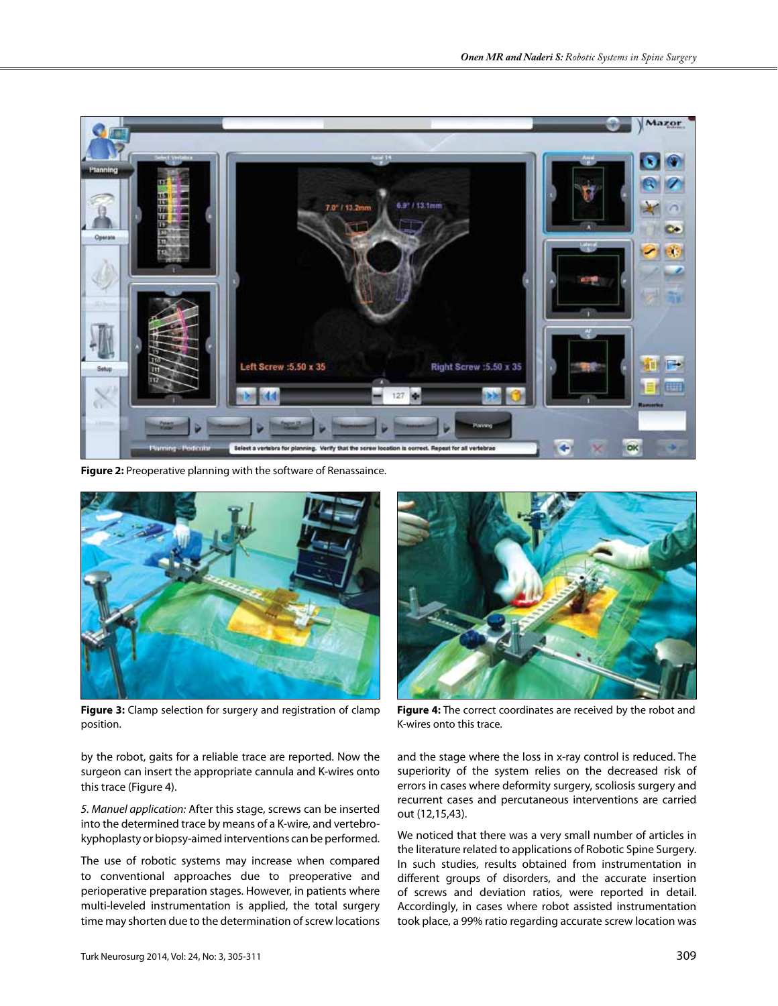

**Figure 2:** Preoperative planning with the software of Renassaince.



**Figure 3:** Clamp selection for surgery and registration of clamp position.

by the robot, gaits for a reliable trace are reported. Now the surgeon can insert the appropriate cannula and K-wires onto this trace (Figure 4).

*5. Manuel application:* After this stage, screws can be inserted into the determined trace by means of a K-wire, and vertebrokyphoplasty or biopsy-aimed interventions can be performed.

The use of robotic systems may increase when compared to conventional approaches due to preoperative and perioperative preparation stages. However, in patients where multi-leveled instrumentation is applied, the total surgery time may shorten due to the determination of screw locations



**Figure 4:** The correct coordinates are received by the robot and K-wires onto this trace.

and the stage where the loss in x-ray control is reduced. The superiority of the system relies on the decreased risk of errors in cases where deformity surgery, scoliosis surgery and recurrent cases and percutaneous interventions are carried out (12,15,43).

We noticed that there was a very small number of articles in the literature related to applications of Robotic Spine Surgery. In such studies, results obtained from instrumentation in different groups of disorders, and the accurate insertion of screws and deviation ratios, were reported in detail. Accordingly, in cases where robot assisted instrumentation took place, a 99% ratio regarding accurate screw location was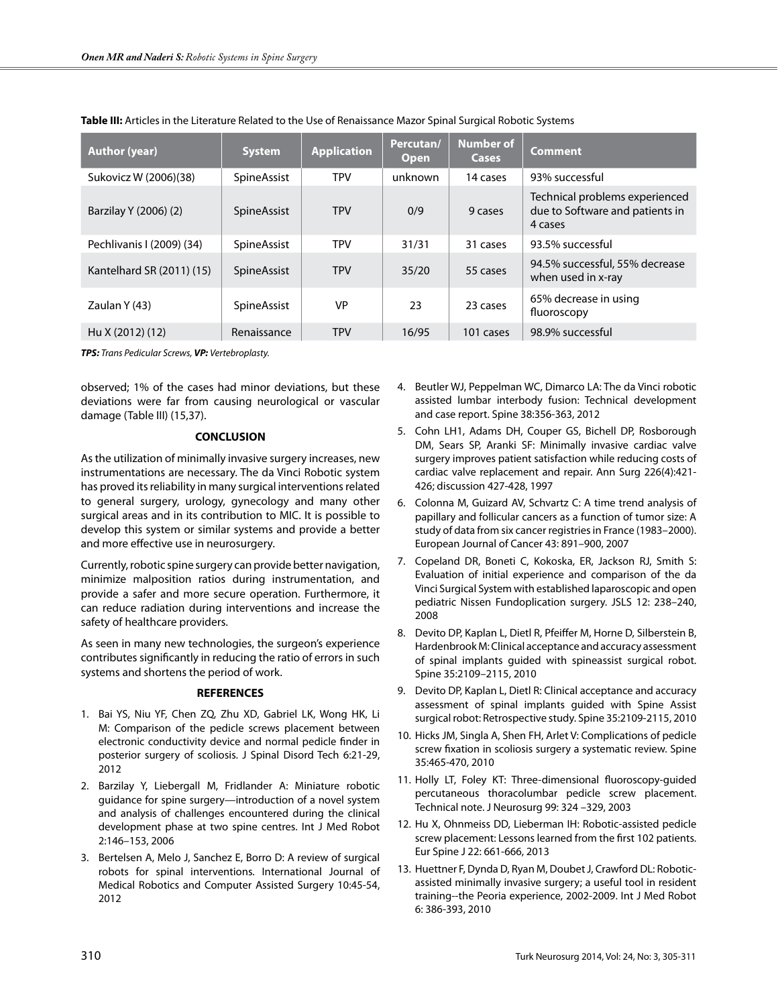| <b>Author (year)</b>      | <b>System</b> | <b>Application</b> | Percutan/<br><b>Open</b> | <b>Number of</b><br><b>Cases</b> | <b>Comment</b>                                                               |
|---------------------------|---------------|--------------------|--------------------------|----------------------------------|------------------------------------------------------------------------------|
| Sukovicz W (2006)(38)     | SpineAssist   | <b>TPV</b>         | unknown                  | 14 cases                         | 93% successful                                                               |
| Barzilay Y (2006) (2)     | SpineAssist   | <b>TPV</b>         | 0/9                      | 9 cases                          | Technical problems experienced<br>due to Software and patients in<br>4 cases |
| Pechlivanis I (2009) (34) | SpineAssist   | <b>TPV</b>         | 31/31                    | 31 cases                         | 93.5% successful                                                             |
| Kantelhard SR (2011) (15) | SpineAssist   | <b>TPV</b>         | 35/20                    | 55 cases                         | 94.5% successful, 55% decrease<br>when used in x-ray                         |
| Zaulan Y (43)             | SpineAssist   | <b>VP</b>          | 23                       | 23 cases                         | 65% decrease in using<br>fluoroscopy                                         |
| Hu X (2012) (12)          | Renaissance   | <b>TPV</b>         | 16/95                    | 101 cases                        | 98.9% successful                                                             |

**Table III:** Articles in the Literature Related to the Use of Renaissance Mazor Spinal Surgical Robotic Systems

*TPS: Trans Pedicular Screws, VP: Vertebroplasty.*

observed; 1% of the cases had minor deviations, but these deviations were far from causing neurological or vascular damage (Table III) (15,37).

## **CONCLUSION**

As the utilization of minimally invasive surgery increases, new instrumentations are necessary. The da Vinci Robotic system has proved its reliability in many surgical interventions related to general surgery, urology, gynecology and many other surgical areas and in its contribution to MIC. It is possible to develop this system or similar systems and provide a better and more effective use in neurosurgery.

Currently, robotic spine surgery can provide better navigation, minimize malposition ratios during instrumentation, and provide a safer and more secure operation. Furthermore, it can reduce radiation during interventions and increase the safety of healthcare providers.

As seen in many new technologies, the surgeon's experience contributes significantly in reducing the ratio of errors in such systems and shortens the period of work.

## **REFERENCES**

- 1. Bai YS, Niu YF, Chen ZQ, Zhu XD, Gabriel LK, Wong HK, Li M: Comparison of the pedicle screws placement between electronic conductivity device and normal pedicle finder in posterior surgery of scoliosis. J Spinal Disord Tech 6:21-29, 2012
- 2. Barzilay Y, Liebergall M, Fridlander A: Miniature robotic guidance for spine surgery—introduction of a novel system and analysis of challenges encountered during the clinical development phase at two spine centres. Int J Med Robot 2:146–153, 2006
- 3. Bertelsen A, Melo J, Sanchez E, Borro D: A review of surgical robots for spinal interventions. International Journal of Medical Robotics and Computer Assisted Surgery 10:45-54, 2012
- 4. Beutler WJ, Peppelman WC, Dimarco LA: The da Vinci robotic assisted lumbar interbody fusion: Technical development and case report. Spine 38:356-363, 2012
- 5. Cohn LH1, Adams DH, Couper GS, Bichell DP, Rosborough DM, Sears SP, Aranki SF: Minimally invasive cardiac valve surgery improves patient satisfaction while reducing costs of cardiac valve replacement and repair. Ann Surg 226(4):421- 426; discussion 427-428, 1997
- 6. Colonna M, Guizard AV, Schvartz C: A time trend analysis of papillary and follicular cancers as a function of tumor size: A study of data from six cancer registries in France (1983–2000). European Journal of Cancer 43: 891–900, 2007
- 7. Copeland DR, Boneti C, Kokoska, ER, Jackson RJ, Smith S: Evaluation of initial experience and comparison of the da Vinci Surgical System with established laparoscopic and open pediatric Nissen Fundoplication surgery. JSLS 12: 238–240, 2008
- 8. Devito DP, Kaplan L, Dietl R, Pfeiffer M, Horne D, Silberstein B, Hardenbrook M: Clinical acceptance and accuracy assessment of spinal implants guided with spineassist surgical robot. Spine 35:2109–2115, 2010
- 9. Devito DP, Kaplan L, Dietl R: Clinical acceptance and accuracy assessment of spinal implants guided with Spine Assist surgical robot: Retrospective study. Spine 35:2109-2115, 2010
- 10. Hicks JM, Singla A, Shen FH, Arlet V: Complications of pedicle screw fixation in scoliosis surgery a systematic review. Spine 35:465-470, 2010
- 11. Holly LT, Foley KT: Three-dimensional fluoroscopy-guided percutaneous thoracolumbar pedicle screw placement. Technical note. J Neurosurg 99: 324 –329, 2003
- 12. Hu X, Ohnmeiss DD, Lieberman IH: Robotic-assisted pedicle screw placement: Lessons learned from the first 102 patients. Eur Spine J 22: 661-666, 2013
- 13. Huettner F, Dynda D, Ryan M, Doubet J, Crawford DL: Roboticassisted minimally invasive surgery; a useful tool in resident training--the Peoria experience, 2002-2009. Int J Med Robot 6: 386-393, 2010